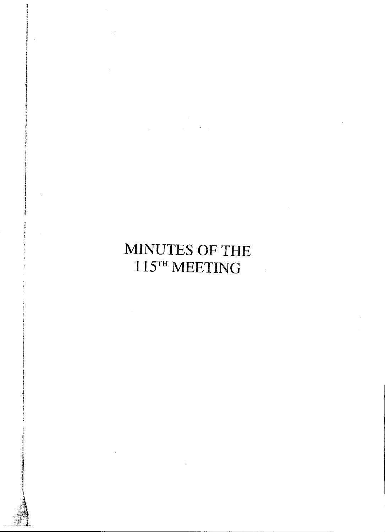# MINUTES OF THE 115TH MEETING

 $\label{eq:2.1} \mathcal{L}_{\mathcal{A}}(\mathcal{A})=\mathcal{L}_{\mathcal{A}}(\mathcal{A})\mathcal{A}(\mathcal{A})=\mathcal{L}_{\mathcal{A}}(\mathcal{A})\mathcal{A}(\mathcal{A}).$ 

 $\sim$   $\sim$ 

 $\sim$   $\sim$ 

 $\sim$   $\sim$ 

 $\ddot{\phantom{a}}$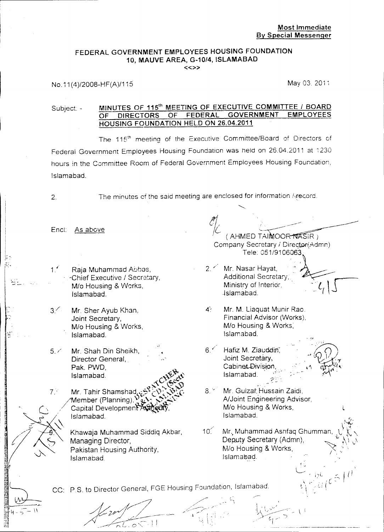#### FEDERAL GOVERNMENT EMPLOYEES HOUSING FOUNDATION 10, MAUVE AREA, G-10/4, ISLAMABAD «»

Subject: - MINUTES OF 115<sup>th</sup> MEETING OF EXECUTIVE COMMITTEE / BOARD<br>OF DIRECTORS OF FEDERAL GOVERNMENT EMPLOYEES OF DIRECTORS HOUSING FOUNDATION HELD ON 26.04.2011

The 115<sup>th</sup> meeting of the Executive Committee/Board of Directors of Federal Government Employees Housing Foundation was held on 26.04.2011 at i<sup>230</sup> hours in the Committee Room of Federal Government Employees Housing Foundation, Islamabad.

("

<sup>I</sup> ' .  $\mid$  'est...

 $~\mathbb{R}$  .

=

**INSTRUMENT** 

 $\mathbb{R}_{\mathbb{Z}}$ ■ 4 − 5  $-+$  $\epsilon$  :

2. The minutes of the said meeting are enclosed for information *i\record.*

Encl: As above

- *1.1* Raja Muhammad Abbas, -Chief Executive / Secretary, *Mia* Housing & VVorks, Islamabad.
- 3/ Mr. Sher Ayub Khan, Joint Secretary, *Mia* Housing &. Works, Islamabad.
- 5. / Mr. Shah Din Sheikh, Director General, Pak. PWD. Islamabad.
- $\mathcal{N}^{C}$  (see  $_{C}$ Mr. Tahir Shamshad  $M$ ember (Planning), Capital Developmen<sup>2</sup> Islamabad. 7.'

Khawaja Muhammad Siddiq Akbar, Managing Director, Pakistan Housing Authority, Islamabad.

*A/~./I~~'/ A;::-- Z/\_ //* / \_~?/~-;-I-~;;:--;I",,~\_.

*<i>(AHMED TAIMOOR NASIR)* Company Secretary / Director(Admn) Tele: 051/9106063,

 $\mathcal{C}$ 

2. / Mr. Nasar Hayat, A~d.itional Secretary, -. '.. r-- Ministry of !ntendr, <sup>~</sup> .[ 'j -1slamabaa. - (

 $\overline{\phantom{a}}$ 

4': Mr. M. Liaquat Munir Rao. Financial Advisor (Works), *Mlo* Housing & Works; Islamabad.

 $6.$  *Hafiz M. Ziauddin*. Joint Secretary, Cabinet Division Islamabad." .  $7$  .



ie...  $\leq$  /

*''y.* \'~Y ...•

*~\ " . . <sup>r</sup> --,* ~\ .!,' i <sup>v</sup> -

 $\mathcal{L}$ 

 $\cup$ 

- 8. <sup>of</sup> Mr. Gulzar Hussain Zaidi, NJoint Engineering Advisor, *M/o* Housing & Works, Islamabad.
- Mr., Muhammad Ashfaq Ghumman Deputy Secretary (Admn), *M/o* Housing & Works, Islamabad.  $10^{6}$

 $\mathbf{y} = (x, y)$  $\mathbf{I} \cdot \mathbf{I} \cdot \mathbf{I} \cdot \mathbf{I} \cdot \mathbf{I} \cdot \mathbf{I} \cdot \mathbf{I} \cdot \mathbf{I} \cdot \mathbf{I} \cdot \mathbf{I} \cdot \mathbf{I} \cdot \mathbf{I} \cdot \mathbf{I} \cdot \mathbf{I} \cdot \mathbf{I} \cdot \mathbf{I} \cdot \mathbf{I} \cdot \mathbf{I} \cdot \mathbf{I} \cdot \mathbf{I} \cdot \mathbf{I} \cdot \mathbf{I} \cdot \mathbf{I} \cdot \mathbf{I} \cdot \mathbf{I} \cdot \mathbf{I} \cdot \mathbf{I} \cdot \mathbf{$  $\frac{1}{2}$ *./t--.<sup>r</sup>* <sup>f</sup> /' / ~I

 $. \, 5$ 

/'-::~~ /. . Let  $\mathcal{L}_\text{c}$  , and - i  $\mathbb{R}^+$ 

CC: P.S. to Director General, FGE Housing Foundation, Islamabad Islamabad.<br>
Islamabad.<br>
CC: P.S. to Director General, FGE Housing Foundation, Islamab.<br>
CC: P.S. to Director General, FGE Housing Foundation, Islamab.

'.~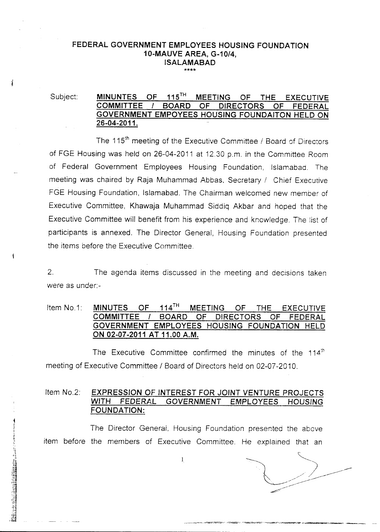#### FEDERAL GOVERNMENT EMPLOYEES HOUSING FOUNDATION 10-MAUVE AREA, *G-10/4,* ISALAMABAD \*\*\*\*

i

#### Subject: MINUNTES OF 115<sup>TH</sup> MEETING OF THE EXECUTIVE COMMITTEE *1* BOARD OF DIRECTORS OF FEDERAL GOVERNMENT EMPOYEES HOUSING FOUNDAITON HELD ON 26-04-2011.

The 115<sup>th</sup> meeting of the Executive Committee / Board of Directors of FGE Housing was held on 26-04-2011 at 12.30 p.m. in the Committee Room of Federal Government Employees Housing Foundation, Islamabad. The meeting was chaired by Raja Muhammad Abbas, Secretary / Chief Executive FGE Housing Foundation, Islamabad. The Chairman welcomed new member of Executive Committee, Khawaja Muhammad Siddiq Akbar and hoped that the Executive Committee will benefit from his experience and knowledge. The list of participants is annexed. The Director General, Housing Foundation presented the items before the Executive Committee.

2. The agenda items discussed in the meeting and decisions taken were as under:-

#### Item No.1: MINUTES OF 114<sup>TH</sup> MEETING OF THE EXECUTIVE COMMITTEE *1* BOARD OF DIRECTORS OF FEDERAL GOVERNMENT EMPLOYEES HOUSING FOUNDATION HELD ON 02-07-2011 AT 11.00 A.M.

The Executive Committee confirmed the minutes of the  $114<sup>th</sup>$ meeting of Executive Committee / Board of Directors held on 02-07-2010.

#### Item No.2: EXPRESSION OF INTEREST FOR JOINT VENTURE PROJECTS WITH FEDERAL GOVERNMENT EMPLOYEES HOUSING FOUNDATION:

The Director Generai, Housing Foundation presented the above item before the members of Executive Committee. He explained that an

 $\sim$   $\sim$   $\sim$  $\backslash$  // ~

\_.\_\_ -",-,~",;--'-,<~.,':~'l.."f"~'~'"..-;":'~~;'.<,'''''~~~''''~''--..".,.~.~""..,:,';;;'~~.~''iP ..-.,~""",~, \_\_ •\_\_

 $\bf{l}$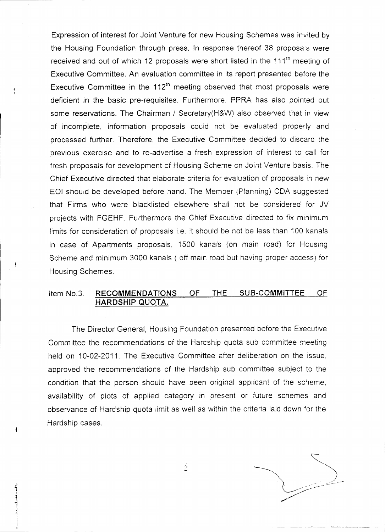Expression of interest for Joint Venture for new Housing Schemes was invited by the Housing Foundation through press. In response thereof 38 proposals were received and out of which 12 proposals were short listed in the 111<sup>th</sup> meeting of Executive Committee. An evaluation committee in its report presented before the Executive Committee. An evaluation committee in its report presented before the<br>Executive Committee in the 112<sup>th</sup> meeting observed that most proposals were deficient in the basic pre-requisites. Furthermore, PPRA has also pointed out some reservations. The Chairman / Secretary(H&W) also observed that in view of incomplete, information proposals could not be evaluated properly and processed further. Therefore, the Executive Committee decided to discard the previous exercise and to re-advertise a fresh expression of interest to call for fresh proposals for development of Housing Scheme on Joint Venture basis. The Chief Executive directed that elaborate criteria for evaluation of proposals in new EOI should be developed before hand. The Member (Planning) COA suggested that Firms who were blacklisted elsewhere shall not be considered for JV projects with FGEHF. Furthermore the Chief Executive directed to fix minimum limits for consideration of proposals i.e. it should be not be less than 100 kanals in case of Apartments proposals, 1500 kanals (on main road) for Housing Scheme and minimum 3000 kanals ( off main road but having proper access) for Housing Schemes.

#### Item No.3. RECOMMENDATIONS OF THE SUB-COMMITTEE OF HARDSHIP QUOTA.

The Director General, Housing Foundation presented before the Executive Committee the recommendations of the Hardship quota sub committee meeting held on 10-02-2011. The Executive Committee after deliberation on the issue, approved the recommendations of the Hardship sub committee subject to the condition that the person should have been original applicant of the scheme, availability of plots of applied category in present or future schemes and observance of Hardship quota limit as well as within the criteria laid down for the Hardship cases.

 $\overline{1}$   $\overline{1}$   $\overline{1}$   $\overline{1}$   $\overline{1}$   $\overline{1}$   $\overline{1}$   $\overline{1}$   $\overline{1}$   $\overline{1}$   $\overline{1}$   $\overline{1}$   $\overline{1}$   $\overline{1}$   $\overline{1}$   $\overline{1}$   $\overline{1}$   $\overline{1}$   $\overline{1}$   $\overline{1}$   $\overline{1}$   $\overline{1}$   $\overline{1}$   $\overline{1}$   $\overline{$  $\sim$  .  $\sim$  $\searrow$ -- \_/ .../.-  $~\uparrow$ 

,~ 1

~ .~ j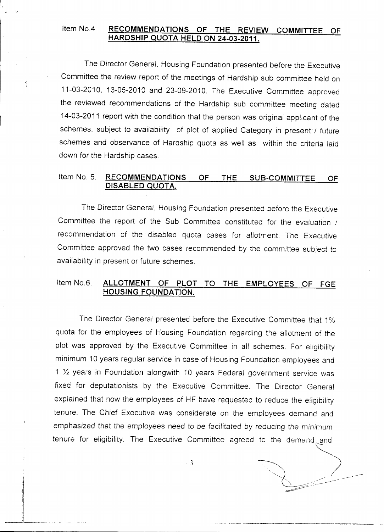#### Item No.4 RECOMMENDATIONS OF THE REVIEW COMMITTEE OF HARDSHIP QUOTA HELD ON 24-03-2011.

The Director General, Housing Foundation presented before the Executive Committee the review report of the meetings of Hardship sub committee held on 11-03-2010, 13-05-2010 and 23-09-2010. The Executive Committee approved the reviewed recommendations of the Hardship sub committee meeting dated 14-03-2011 report with the condition that the person was original applicant of the schemes, subject to availability of plot of applied Category in present / future schemes and observance of Hardship quota as well as within the criteria laid down for the Hardship cases.

#### Item No. 5. RECOMMENDATIONS OF THE SUB-COMMITTEE OF DISABLED QUOTA.

The Director General. Housing Foundation presented before the Executive Committee the report of the Sub Committee constituted for the evaluation / recommendation of the disabled quota cases for allotment. The Executive Committee approved the two cases recommended by the committee subject to availability in present or future schemes.

### Item No.6. ALLOTMENT OF PLOT TO THE EMPLOYEES OF FGE HOUSING FOUNDATION.

The Director General presented before the Executive Committee that 1% quota for the employees of Housing Foundation regarding the allotment of the plot was approved by the Executive Committee in all schemes. For eligibility minimum 10 years regular service in case of Housing Foundation employees and 1  $\frac{1}{2}$  years in Foundation alongwith 10 years Federal government service was fixed for deputationists by the Executive Committee. The Director General explained that now the employees of HF have requested to reduce the eligibility tenure. The Chief Executive was considerate on the employees demand and emphasized that the employees need to be *facilitated* by reducing the *minimum* tenure for eligibility. The Executive Committee agreed to the demand and

 $-3$ 

*""'-----'1,. / \_\_-*  $\mathbb{C}$  ...

.\_"r. ,,'\_ ••~...-., ...•..•\_\_ .~\_, \_\_ ~.\_ •••"\_\_-.-..--\_\_ . ~\_. \_

 $\frac{1}{2}$ i ti 'I 11 ;1 ~--;.----~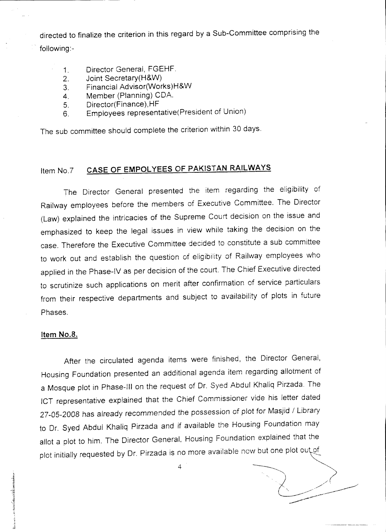directed to finalize the criterion in this regard by a Sub-Committee comprising the following:-

- 1. Director General, FGEHF.
- 2. Joint Secretary(H&W)
- 3. Financial Advisor(Works)H&W
- 4. Member (Planning) CDA.
- 5. Director(Finance),HF
- 6. Employees representative(President of Union)

The sub committee should complete the criterion within 30 days.

## Item No.7 CASE OF EMPOLYEES OF PAKISTAN RAILWAYS

The Director General presented the item regarding the eligibility of Railway employees before the members of Executive Committee. The Director (Law) explained the intricacies of the Supreme Court decision on the issue and emphasized to keep the legal issues in view while taking the decision on the case. Therefore the Executive Committee decided to constitute a sub committee to work out and establish the question of eligibility of Railway employees who applied in the Phase-IV as per decision of the court. The Chief Executive directed to scrutinize such applications on merit after confirmation of service particulars from their respective departments and subject to availability of plots in future Phases.

#### Item NO.8.

After the circulated agenda items were finished, the Director General, Housing Foundation presented an additional agenda item regarding allotment of a Mosque plot in Phase-III on the request of Dr. Syed Abdul Khaliq Pirzada. The ICT representative explained that the Chief Commissioner vide his letter dated 27-05-2008 has already recommended the possession of plot for Masjid / Library to Dr. Syed Abdul Khaliq Pirzada and if available the Housing Foundation may allot a plot to him. The Director General, Housing Foundation explained that the plot initially requested by Dr. Pirzada is no more available now but one plot out of

 $\overline{4}$ 

 $\bigcirc$  .  $\bigcirc$ --- ---

#in 1992 of the American Product of The American Product of The American Product of The American Product of Th<br>- The American Product of The American Product of The American Product of The American Product of The American<br> ~  $\frac{1}{2}$ .\_~ ,~ *1*

1

d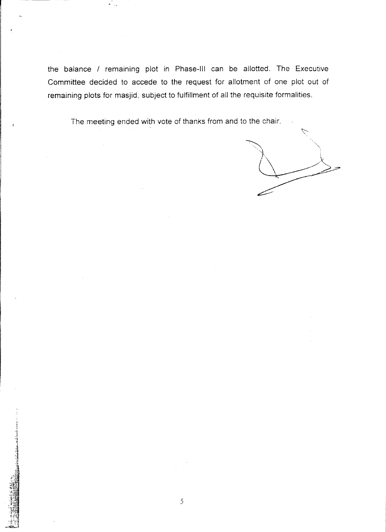the balance / remaining plot in Phase-III can be allotted. The Executive Committee decided to accede to the request for allotment of one plot out of remaining plots for masjid, subject to fulfillment of all the requisite formalities.

The meeting ended with vote of thanks from and to the chair.

**.** -------

1~¥i -1 i '3 ~-~

 $\dot{\mathcal{L}}$